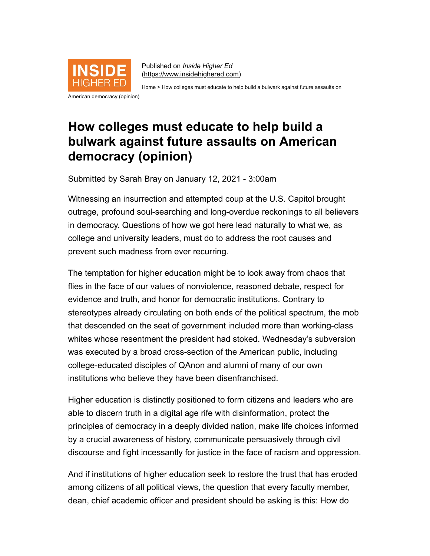

Published on *Inside Higher Ed* [\(https://www.insidehighered.com](https://www.insidehighered.com/))

[Home](https://www.insidehighered.com/) > How colleges must educate to help build a bulwark against future assaults on

## American democracy (opinion)

## **How colleges must educate to help build a bulwark against future assaults on American democracy (opinion)**

Submitted by Sarah Bray on January 12, 2021 - 3:00am

Witnessing an insurrection and attempted coup at the U.S. Capitol brought outrage, profound soul-searching and long-overdue reckonings to all believers in democracy. Questions of how we got here lead naturally to what we, as college and university leaders, must do to address the root causes and prevent such madness from ever recurring.

The temptation for higher education might be to look away from chaos that flies in the face of our values of nonviolence, reasoned debate, respect for evidence and truth, and honor for democratic institutions. Contrary to stereotypes already circulating on both ends of the political spectrum, the mob that descended on the seat of government included more than working-class whites whose resentment the president had stoked. Wednesday's subversion was executed by a broad cross-section of the American public, including college-educated disciples of QAnon and alumni of many of our own institutions who believe they have been disenfranchised.

Higher education is distinctly positioned to form citizens and leaders who are able to discern truth in a digital age rife with disinformation, protect the principles of democracy in a deeply divided nation, make life choices informed by a crucial awareness of history, communicate persuasively through civil discourse and fight incessantly for justice in the face of racism and oppression.

And if institutions of higher education seek to restore the trust that has eroded among citizens of all political views, the question that every faculty member, dean, chief academic officer and president should be asking is this: How do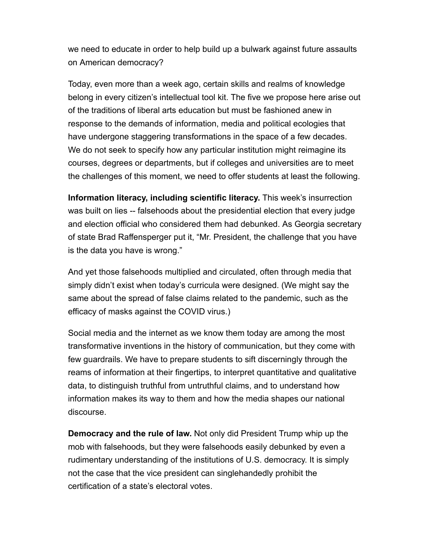we need to educate in order to help build up a bulwark against future assaults on American democracy?

Today, even more than a week ago, certain skills and realms of knowledge belong in every citizen's intellectual tool kit. The five we propose here arise out of the traditions of liberal arts education but must be fashioned anew in response to the demands of information, media and political ecologies that have undergone staggering transformations in the space of a few decades. We do not seek to specify how any particular institution might reimagine its courses, degrees or departments, but if colleges and universities are to meet the challenges of this moment, we need to offer students at least the following.

**Information literacy, including scientific literacy.** This week's insurrection was built on lies -- falsehoods about the presidential election that every judge and election official who considered them had debunked. As Georgia secretary of state Brad Raffensperger put it, "Mr. President, the challenge that you have is the data you have is wrong."

And yet those falsehoods multiplied and circulated, often through media that simply didn't exist when today's curricula were designed. (We might say the same about the spread of false claims related to the pandemic, such as the efficacy of masks against the COVID virus.)

Social media and the internet as we know them today are among the most transformative inventions in the history of communication, but they come with few guardrails. We have to prepare students to sift discerningly through the reams of information at their fingertips, to interpret quantitative and qualitative data, to distinguish truthful from untruthful claims, and to understand how information makes its way to them and how the media shapes our national discourse.

**Democracy and the rule of law.** Not only did President Trump whip up the mob with falsehoods, but they were falsehoods easily debunked by even a rudimentary understanding of the institutions of U.S. democracy. It is simply not the case that the vice president can singlehandedly prohibit the certification of a state's electoral votes.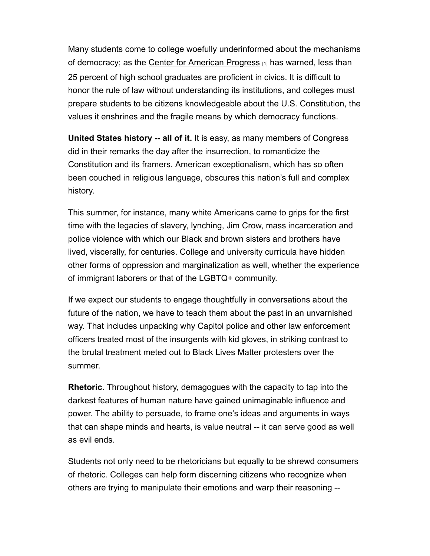Many students come to college woefully underinformed about the mechanisms of democracy; as the [Center for American Progress](https://www.americanprogress.org/issues/education-k-12/reports/2019/12/14/478750/strengthening-democracy-modern-civics-education/) [1] has warned, less than 25 percent of high school graduates are proficient in civics. It is difficult to honor the rule of law without understanding its institutions, and colleges must prepare students to be citizens knowledgeable about the U.S. Constitution, the values it enshrines and the fragile means by which democracy functions.

**United States history -- all of it.** It is easy, as many members of Congress did in their remarks the day after the insurrection, to romanticize the Constitution and its framers. American exceptionalism, which has so often been couched in religious language, obscures this nation's full and complex history.

This summer, for instance, many white Americans came to grips for the first time with the legacies of slavery, lynching, Jim Crow, mass incarceration and police violence with which our Black and brown sisters and brothers have lived, viscerally, for centuries. College and university curricula have hidden other forms of oppression and marginalization as well, whether the experience of immigrant laborers or that of the LGBTQ+ community.

If we expect our students to engage thoughtfully in conversations about the future of the nation, we have to teach them about the past in an unvarnished way. That includes unpacking why Capitol police and other law enforcement officers treated most of the insurgents with kid gloves, in striking contrast to the brutal treatment meted out to Black Lives Matter protesters over the summer.

**Rhetoric.** Throughout history, demagogues with the capacity to tap into the darkest features of human nature have gained unimaginable influence and power. The ability to persuade, to frame one's ideas and arguments in ways that can shape minds and hearts, is value neutral -- it can serve good as well as evil ends.

Students not only need to be rhetoricians but equally to be shrewd consumers of rhetoric. Colleges can help form discerning citizens who recognize when others are trying to manipulate their emotions and warp their reasoning --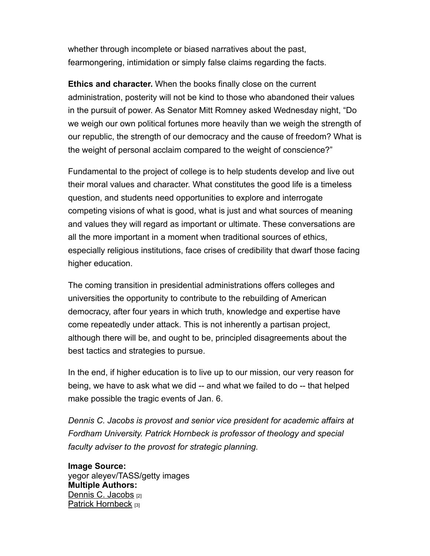whether through incomplete or biased narratives about the past, fearmongering, intimidation or simply false claims regarding the facts.

**Ethics and character.** When the books finally close on the current administration, posterity will not be kind to those who abandoned their values in the pursuit of power. As Senator Mitt Romney asked Wednesday night, "Do we weigh our own political fortunes more heavily than we weigh the strength of our republic, the strength of our democracy and the cause of freedom? What is the weight of personal acclaim compared to the weight of conscience?"

Fundamental to the project of college is to help students develop and live out their moral values and character. What constitutes the good life is a timeless question, and students need opportunities to explore and interrogate competing visions of what is good, what is just and what sources of meaning and values they will regard as important or ultimate. These conversations are all the more important in a moment when traditional sources of ethics, especially religious institutions, face crises of credibility that dwarf those facing higher education.

The coming transition in presidential administrations offers colleges and universities the opportunity to contribute to the rebuilding of American democracy, after four years in which truth, knowledge and expertise have come repeatedly under attack. This is not inherently a partisan project, although there will be, and ought to be, principled disagreements about the best tactics and strategies to pursue.

In the end, if higher education is to live up to our mission, our very reason for being, we have to ask what we did -- and what we failed to do -- that helped make possible the tragic events of Jan. 6.

*Dennis C. Jacobs is provost and senior vice president for academic affairs at Fordham University. Patrick Hornbeck is professor of theology and special faculty adviser to the provost for strategic planning.*

**Image Source:**  yegor aleyev/TASS/getty images **Multiple Authors:**  [Dennis C. Jacobs](https://www.insidehighered.com/users/dennis-c-jacobs) [2] [Patrick Hornbeck](https://www.insidehighered.com/users/patrick-hornbeck) [3]